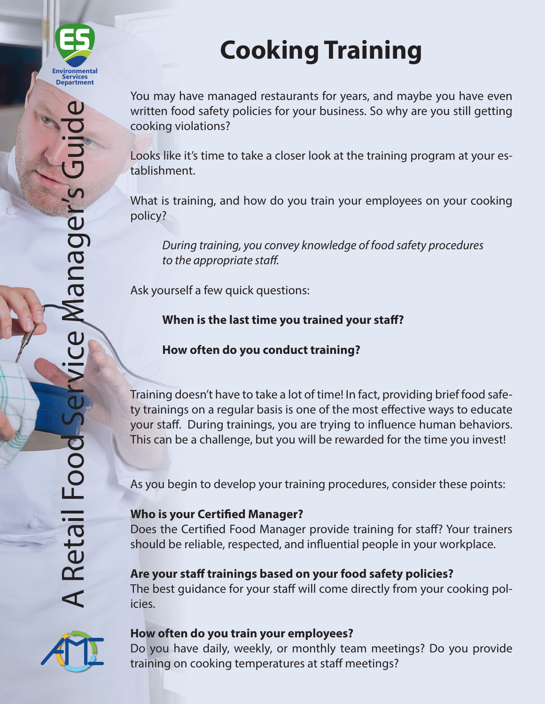

# **Cooking Training**

You may have managed restaurants for years, and maybe you have even written food safety policies for your business. So why are you still getting cooking violations?

Looks like it's time to take a closer look at the training program at your establishment.

What is training, and how do you train your employees on your cooking policy?

*During training, you convey knowledge of food safety procedures to the appropriate staff.*

Ask yourself a few quick questions:

**When is the last time you trained your staff?**

**How often do you conduct training?**

Training doesn't have to take a lot of time! In fact, providing brief food safety trainings on a regular basis is one of the most effective ways to educate your staff. During trainings, you are trying to influence human behaviors. This can be a challenge, but you will be rewarded for the time you invest!

As you begin to develop your training procedures, consider these points:

## **Who is your Certified Manager?**

Does the Certified Food Manager provide training for staff? Your trainers should be reliable, respected, and influential people in your workplace.

## **Are your staff trainings based on your food safety policies?**

The best guidance for your staff will come directly from your cooking policies.



### **How often do you train your employees?**

Do you have daily, weekly, or monthly team meetings? Do you provide training on cooking temperatures at staff meetings?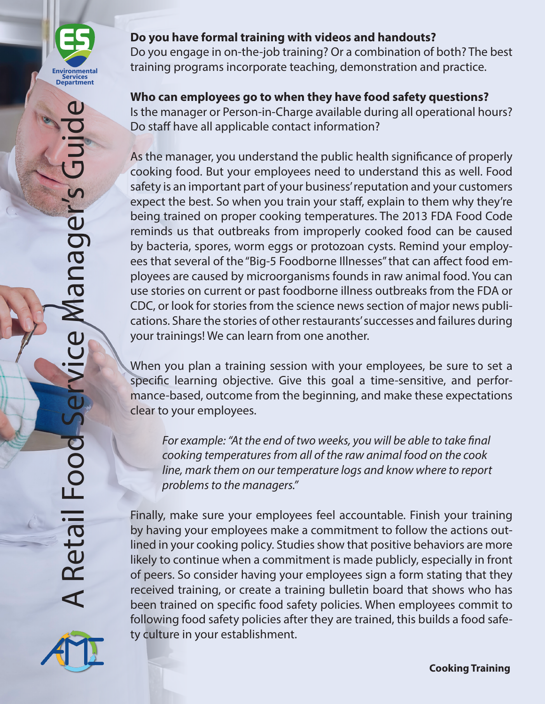

Do you engage in on-the-job training? Or a combination of both? The best training programs incorporate teaching, demonstration and practice.

## **Who can employees go to when they have food safety questions?**

Is the manager or Person-in-Charge available during all operational hours? Do staff have all applicable contact information?

As the manager, you understand the public health significance of properly cooking food. But your employees need to understand this as well. Food safety is an important part of your business' reputation and your customers expect the best. So when you train your staff, explain to them why they're being trained on proper cooking temperatures. The 2013 FDA Food Code reminds us that outbreaks from improperly cooked food can be caused by bacteria, spores, worm eggs or protozoan cysts. Remind your employees that several of the "Big-5 Foodborne Illnesses" that can affect food employees are caused by microorganisms founds in raw animal food. You can use stories on current or past foodborne illness outbreaks from the FDA or CDC, or look for stories from the science news section of major news publications. Share the stories of other restaurants' successes and failures during your trainings! We can learn from one another.

When you plan a training session with your employees, be sure to set a specific learning objective. Give this goal a time-sensitive, and performance-based, outcome from the beginning, and make these expectations clear to your employees.

*For example: "At the end of two weeks, you will be able to take final cooking temperatures from all of the raw animal food on the cook line, mark them on our temperature logs and know where to report problems to the managers."*

Finally, make sure your employees feel accountable. Finish your training by having your employees make a commitment to follow the actions outlined in your cooking policy. Studies show that positive behaviors are more likely to continue when a commitment is made publicly, especially in front of peers. So consider having your employees sign a form stating that they received training, or create a training bulletin board that shows who has been trained on specific food safety policies. When employees commit to following food safety policies after they are trained, this builds a food safety culture in your establishment.